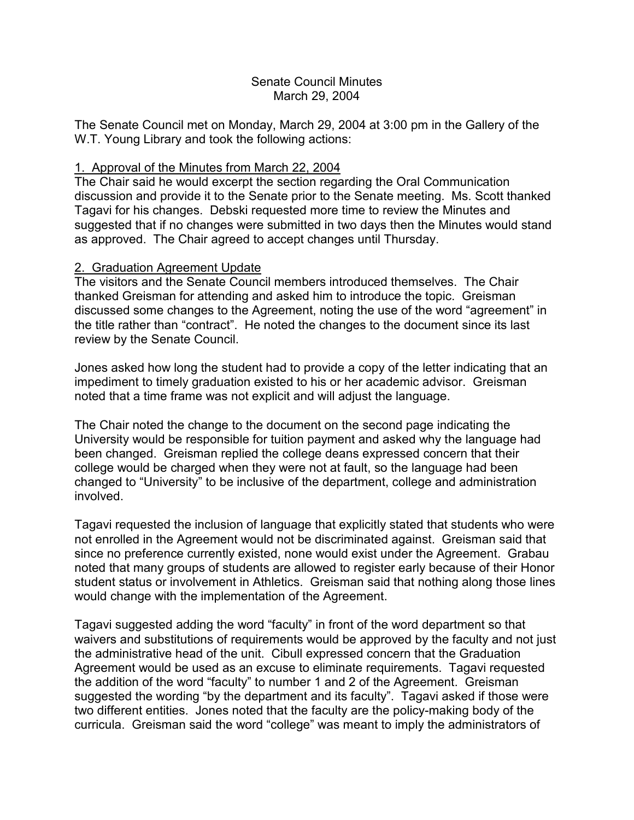#### Senate Council Minutes March 29, 2004

The Senate Council met on Monday, March 29, 2004 at 3:00 pm in the Gallery of the W.T. Young Library and took the following actions:

# 1. Approval of the Minutes from March 22, 2004

The Chair said he would excerpt the section regarding the Oral Communication discussion and provide it to the Senate prior to the Senate meeting. Ms. Scott thanked Tagavi for his changes. Debski requested more time to review the Minutes and suggested that if no changes were submitted in two days then the Minutes would stand as approved. The Chair agreed to accept changes until Thursday.

## 2. Graduation Agreement Update

The visitors and the Senate Council members introduced themselves. The Chair thanked Greisman for attending and asked him to introduce the topic. Greisman discussed some changes to the Agreement, noting the use of the word "agreement" in the title rather than "contract". He noted the changes to the document since its last review by the Senate Council.

Jones asked how long the student had to provide a copy of the letter indicating that an impediment to timely graduation existed to his or her academic advisor. Greisman noted that a time frame was not explicit and will adjust the language.

The Chair noted the change to the document on the second page indicating the University would be responsible for tuition payment and asked why the language had been changed. Greisman replied the college deans expressed concern that their college would be charged when they were not at fault, so the language had been changed to "University" to be inclusive of the department, college and administration involved.

Tagavi requested the inclusion of language that explicitly stated that students who were not enrolled in the Agreement would not be discriminated against. Greisman said that since no preference currently existed, none would exist under the Agreement. Grabau noted that many groups of students are allowed to register early because of their Honor student status or involvement in Athletics. Greisman said that nothing along those lines would change with the implementation of the Agreement.

Tagavi suggested adding the word "faculty" in front of the word department so that waivers and substitutions of requirements would be approved by the faculty and not just the administrative head of the unit. Cibull expressed concern that the Graduation Agreement would be used as an excuse to eliminate requirements. Tagavi requested the addition of the word "faculty" to number 1 and 2 of the Agreement. Greisman suggested the wording "by the department and its faculty". Tagavi asked if those were two different entities. Jones noted that the faculty are the policy-making body of the curricula. Greisman said the word "college" was meant to imply the administrators of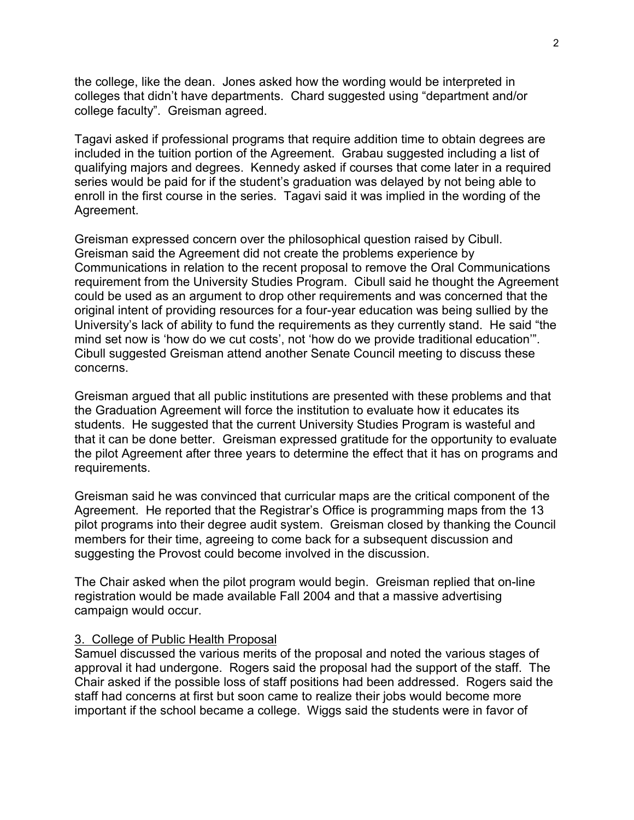the college, like the dean. Jones asked how the wording would be interpreted in colleges that didn't have departments. Chard suggested using "department and/or college faculty". Greisman agreed.

Tagavi asked if professional programs that require addition time to obtain degrees are included in the tuition portion of the Agreement. Grabau suggested including a list of qualifying majors and degrees. Kennedy asked if courses that come later in a required series would be paid for if the student's graduation was delayed by not being able to enroll in the first course in the series. Tagavi said it was implied in the wording of the Agreement.

Greisman expressed concern over the philosophical question raised by Cibull. Greisman said the Agreement did not create the problems experience by Communications in relation to the recent proposal to remove the Oral Communications requirement from the University Studies Program. Cibull said he thought the Agreement could be used as an argument to drop other requirements and was concerned that the original intent of providing resources for a four-year education was being sullied by the University's lack of ability to fund the requirements as they currently stand. He said "the mind set now is 'how do we cut costs', not 'how do we provide traditional education'". Cibull suggested Greisman attend another Senate Council meeting to discuss these concerns.

Greisman argued that all public institutions are presented with these problems and that the Graduation Agreement will force the institution to evaluate how it educates its students. He suggested that the current University Studies Program is wasteful and that it can be done better. Greisman expressed gratitude for the opportunity to evaluate the pilot Agreement after three years to determine the effect that it has on programs and requirements.

Greisman said he was convinced that curricular maps are the critical component of the Agreement. He reported that the Registrar's Office is programming maps from the 13 pilot programs into their degree audit system. Greisman closed by thanking the Council members for their time, agreeing to come back for a subsequent discussion and suggesting the Provost could become involved in the discussion.

The Chair asked when the pilot program would begin. Greisman replied that on-line registration would be made available Fall 2004 and that a massive advertising campaign would occur.

# 3. College of Public Health Proposal

Samuel discussed the various merits of the proposal and noted the various stages of approval it had undergone. Rogers said the proposal had the support of the staff. The Chair asked if the possible loss of staff positions had been addressed. Rogers said the staff had concerns at first but soon came to realize their jobs would become more important if the school became a college. Wiggs said the students were in favor of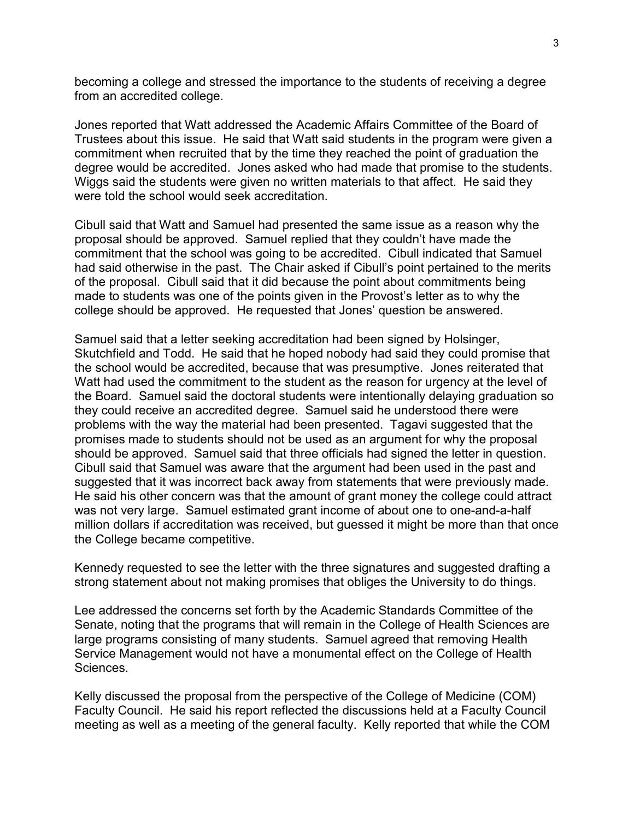becoming a college and stressed the importance to the students of receiving a degree from an accredited college.

Jones reported that Watt addressed the Academic Affairs Committee of the Board of Trustees about this issue. He said that Watt said students in the program were given a commitment when recruited that by the time they reached the point of graduation the degree would be accredited. Jones asked who had made that promise to the students. Wiggs said the students were given no written materials to that affect. He said they were told the school would seek accreditation.

Cibull said that Watt and Samuel had presented the same issue as a reason why the proposal should be approved. Samuel replied that they couldn't have made the commitment that the school was going to be accredited. Cibull indicated that Samuel had said otherwise in the past. The Chair asked if Cibull's point pertained to the merits of the proposal. Cibull said that it did because the point about commitments being made to students was one of the points given in the Provost's letter as to why the college should be approved. He requested that Jones' question be answered.

Samuel said that a letter seeking accreditation had been signed by Holsinger, Skutchfield and Todd. He said that he hoped nobody had said they could promise that the school would be accredited, because that was presumptive. Jones reiterated that Watt had used the commitment to the student as the reason for urgency at the level of the Board. Samuel said the doctoral students were intentionally delaying graduation so they could receive an accredited degree. Samuel said he understood there were problems with the way the material had been presented. Tagavi suggested that the promises made to students should not be used as an argument for why the proposal should be approved. Samuel said that three officials had signed the letter in question. Cibull said that Samuel was aware that the argument had been used in the past and suggested that it was incorrect back away from statements that were previously made. He said his other concern was that the amount of grant money the college could attract was not very large. Samuel estimated grant income of about one to one-and-a-half million dollars if accreditation was received, but guessed it might be more than that once the College became competitive.

Kennedy requested to see the letter with the three signatures and suggested drafting a strong statement about not making promises that obliges the University to do things.

Lee addressed the concerns set forth by the Academic Standards Committee of the Senate, noting that the programs that will remain in the College of Health Sciences are large programs consisting of many students. Samuel agreed that removing Health Service Management would not have a monumental effect on the College of Health **Sciences** 

Kelly discussed the proposal from the perspective of the College of Medicine (COM) Faculty Council. He said his report reflected the discussions held at a Faculty Council meeting as well as a meeting of the general faculty. Kelly reported that while the COM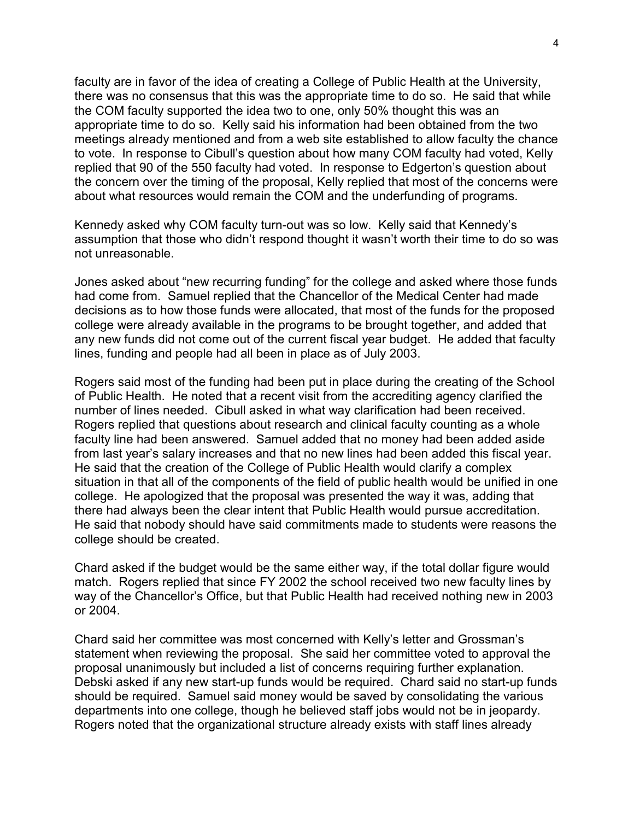faculty are in favor of the idea of creating a College of Public Health at the University, there was no consensus that this was the appropriate time to do so. He said that while the COM faculty supported the idea two to one, only 50% thought this was an appropriate time to do so. Kelly said his information had been obtained from the two meetings already mentioned and from a web site established to allow faculty the chance to vote. In response to Cibull's question about how many COM faculty had voted, Kelly replied that 90 of the 550 faculty had voted. In response to Edgerton's question about the concern over the timing of the proposal, Kelly replied that most of the concerns were about what resources would remain the COM and the underfunding of programs.

Kennedy asked why COM faculty turn-out was so low. Kelly said that Kennedy's assumption that those who didn't respond thought it wasn't worth their time to do so was not unreasonable.

Jones asked about "new recurring funding" for the college and asked where those funds had come from. Samuel replied that the Chancellor of the Medical Center had made decisions as to how those funds were allocated, that most of the funds for the proposed college were already available in the programs to be brought together, and added that any new funds did not come out of the current fiscal year budget. He added that faculty lines, funding and people had all been in place as of July 2003.

Rogers said most of the funding had been put in place during the creating of the School of Public Health. He noted that a recent visit from the accrediting agency clarified the number of lines needed. Cibull asked in what way clarification had been received. Rogers replied that questions about research and clinical faculty counting as a whole faculty line had been answered. Samuel added that no money had been added aside from last year's salary increases and that no new lines had been added this fiscal year. He said that the creation of the College of Public Health would clarify a complex situation in that all of the components of the field of public health would be unified in one college. He apologized that the proposal was presented the way it was, adding that there had always been the clear intent that Public Health would pursue accreditation. He said that nobody should have said commitments made to students were reasons the college should be created.

Chard asked if the budget would be the same either way, if the total dollar figure would match. Rogers replied that since FY 2002 the school received two new faculty lines by way of the Chancellor's Office, but that Public Health had received nothing new in 2003 or 2004.

Chard said her committee was most concerned with Kelly's letter and Grossman's statement when reviewing the proposal. She said her committee voted to approval the proposal unanimously but included a list of concerns requiring further explanation. Debski asked if any new start-up funds would be required. Chard said no start-up funds should be required. Samuel said money would be saved by consolidating the various departments into one college, though he believed staff jobs would not be in jeopardy. Rogers noted that the organizational structure already exists with staff lines already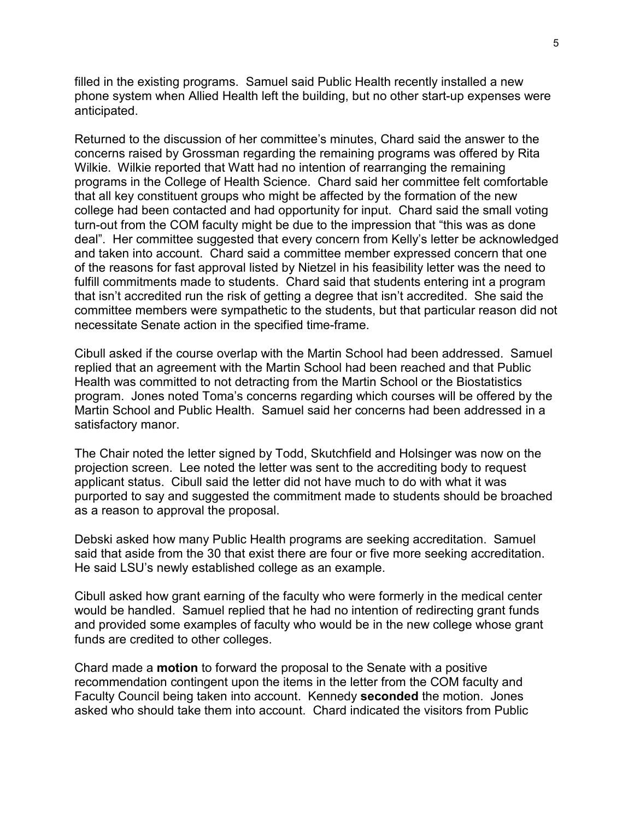filled in the existing programs. Samuel said Public Health recently installed a new phone system when Allied Health left the building, but no other start-up expenses were anticipated.

Returned to the discussion of her committee's minutes, Chard said the answer to the concerns raised by Grossman regarding the remaining programs was offered by Rita Wilkie. Wilkie reported that Watt had no intention of rearranging the remaining programs in the College of Health Science. Chard said her committee felt comfortable that all key constituent groups who might be affected by the formation of the new college had been contacted and had opportunity for input. Chard said the small voting turn-out from the COM faculty might be due to the impression that "this was as done deal". Her committee suggested that every concern from Kelly's letter be acknowledged and taken into account. Chard said a committee member expressed concern that one of the reasons for fast approval listed by Nietzel in his feasibility letter was the need to fulfill commitments made to students. Chard said that students entering int a program that isn't accredited run the risk of getting a degree that isn't accredited. She said the committee members were sympathetic to the students, but that particular reason did not necessitate Senate action in the specified time-frame.

Cibull asked if the course overlap with the Martin School had been addressed. Samuel replied that an agreement with the Martin School had been reached and that Public Health was committed to not detracting from the Martin School or the Biostatistics program. Jones noted Toma's concerns regarding which courses will be offered by the Martin School and Public Health. Samuel said her concerns had been addressed in a satisfactory manor.

The Chair noted the letter signed by Todd, Skutchfield and Holsinger was now on the projection screen. Lee noted the letter was sent to the accrediting body to request applicant status. Cibull said the letter did not have much to do with what it was purported to say and suggested the commitment made to students should be broached as a reason to approval the proposal.

Debski asked how many Public Health programs are seeking accreditation. Samuel said that aside from the 30 that exist there are four or five more seeking accreditation. He said LSU's newly established college as an example.

Cibull asked how grant earning of the faculty who were formerly in the medical center would be handled. Samuel replied that he had no intention of redirecting grant funds and provided some examples of faculty who would be in the new college whose grant funds are credited to other colleges.

Chard made a **motion** to forward the proposal to the Senate with a positive recommendation contingent upon the items in the letter from the COM faculty and Faculty Council being taken into account. Kennedy **seconded** the motion. Jones asked who should take them into account. Chard indicated the visitors from Public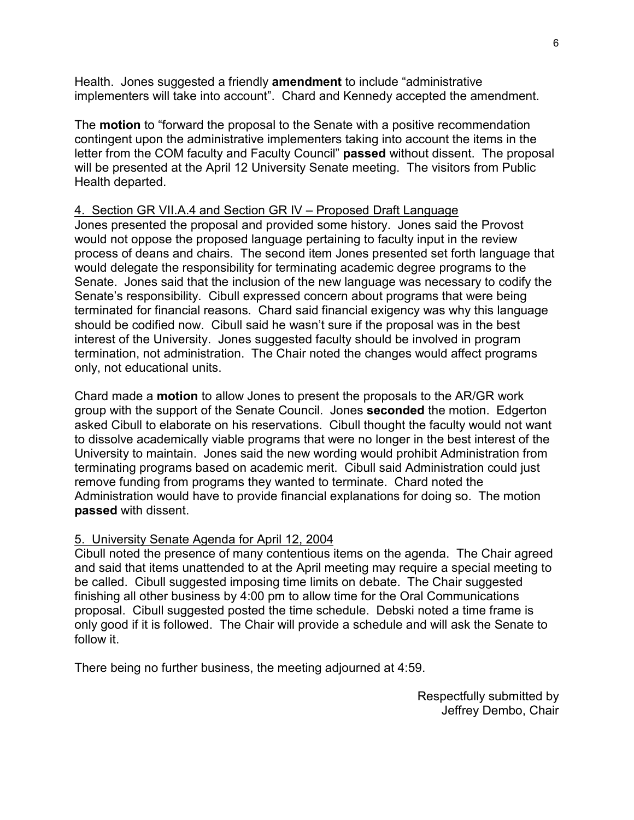Health. Jones suggested a friendly **amendment** to include "administrative implementers will take into account". Chard and Kennedy accepted the amendment.

The **motion** to "forward the proposal to the Senate with a positive recommendation contingent upon the administrative implementers taking into account the items in the letter from the COM faculty and Faculty Council" **passed** without dissent. The proposal will be presented at the April 12 University Senate meeting. The visitors from Public Health departed.

## 4. Section GR VII.A.4 and Section GR IV – Proposed Draft Language

Jones presented the proposal and provided some history. Jones said the Provost would not oppose the proposed language pertaining to faculty input in the review process of deans and chairs. The second item Jones presented set forth language that would delegate the responsibility for terminating academic degree programs to the Senate. Jones said that the inclusion of the new language was necessary to codify the Senate's responsibility. Cibull expressed concern about programs that were being terminated for financial reasons. Chard said financial exigency was why this language should be codified now. Cibull said he wasn't sure if the proposal was in the best interest of the University. Jones suggested faculty should be involved in program termination, not administration. The Chair noted the changes would affect programs only, not educational units.

Chard made a **motion** to allow Jones to present the proposals to the AR/GR work group with the support of the Senate Council. Jones **seconded** the motion. Edgerton asked Cibull to elaborate on his reservations. Cibull thought the faculty would not want to dissolve academically viable programs that were no longer in the best interest of the University to maintain. Jones said the new wording would prohibit Administration from terminating programs based on academic merit. Cibull said Administration could just remove funding from programs they wanted to terminate. Chard noted the Administration would have to provide financial explanations for doing so. The motion **passed** with dissent.

## 5. University Senate Agenda for April 12, 2004

Cibull noted the presence of many contentious items on the agenda. The Chair agreed and said that items unattended to at the April meeting may require a special meeting to be called. Cibull suggested imposing time limits on debate. The Chair suggested finishing all other business by 4:00 pm to allow time for the Oral Communications proposal. Cibull suggested posted the time schedule. Debski noted a time frame is only good if it is followed. The Chair will provide a schedule and will ask the Senate to follow it.

There being no further business, the meeting adjourned at 4:59.

Respectfully submitted by Jeffrey Dembo, Chair